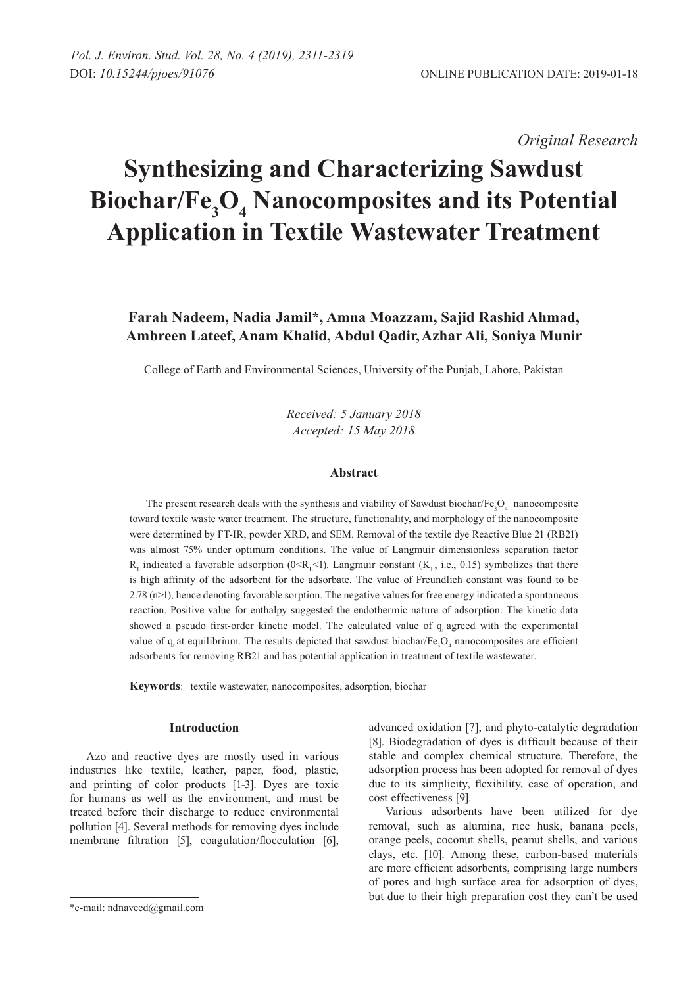*Original Research* 

# **Synthesizing and Characterizing Sawdust**  Biochar/Fe<sub>3</sub>O<sub>4</sub> Nanocomposites and its Potential **Application in Textile Wastewater Treatment**

# **Farah Nadeem, Nadia Jamil\*, Amna Moazzam, Sajid Rashid Ahmad, Ambreen Lateef, Anam Khalid, Abdul Qadir,Azhar Ali, Soniya Munir**

College of Earth and Environmental Sciences, University of the Punjab, Lahore, Pakistan

*Received: 5 January 2018 Accepted: 15 May 2018*

### **Abstract**

The present research deals with the synthesis and viability of Sawdust biochar/ $Fe<sub>3</sub>O<sub>4</sub>$  nanocomposite toward textile waste water treatment. The structure, functionality, and morphology of the nanocomposite were determined by FT-IR, powder XRD, and SEM. Removal of the textile dye Reactive Blue 21 (RB21) was almost 75% under optimum conditions. The value of Langmuir dimensionless separation factor  $R_1$  indicated a favorable adsorption (0<R<sub>1</sub><1). Langmuir constant (K<sub>1</sub>, i.e., 0.15) symbolizes that there is high affinity of the adsorbent for the adsorbate. The value of Freundlich constant was found to be  $2.78$  (n $>1$ ), hence denoting favorable sorption. The negative values for free energy indicated a spontaneous reaction. Positive value for enthalpy suggested the endothermic nature of adsorption. The kinetic data showed a pseudo first-order kinetic model. The calculated value of q agreed with the experimental value of  $q_t$  at equilibrium. The results depicted that sawdust biochar/Fe<sub>3</sub>O<sub>4</sub> nanocomposites are efficient adsorbents for removing RB21 and has potential application in treatment of textile wastewater.

**Keywords**: textile wastewater, nanocomposites, adsorption, biochar

# **Introduction**

Azo and reactive dyes are mostly used in various industries like textile, leather, paper, food, plastic, and printing of color products [1-3]. Dyes are toxic for humans as well as the environment, and must be treated before their discharge to reduce environmental pollution [4]. Several methods for removing dyes include membrane filtration [5], coagulation/flocculation [6], advanced oxidation [7], and phyto-catalytic degradation [8]. Biodegradation of dyes is difficult because of their stable and complex chemical structure. Therefore, the adsorption process has been adopted for removal of dyes due to its simplicity, flexibility, ease of operation, and cost effectiveness [9].

Various adsorbents have been utilized for dye removal, such as alumina, rice husk, banana peels, orange peels, coconut shells, peanut shells, and various clays, etc. [10]. Among these, carbon-based materials are more efficient adsorbents, comprising large numbers of pores and high surface area for adsorption of dyes, but due to their high preparation cost they can't be used

<sup>\*</sup>e-mail: ndnaveed@gmail.com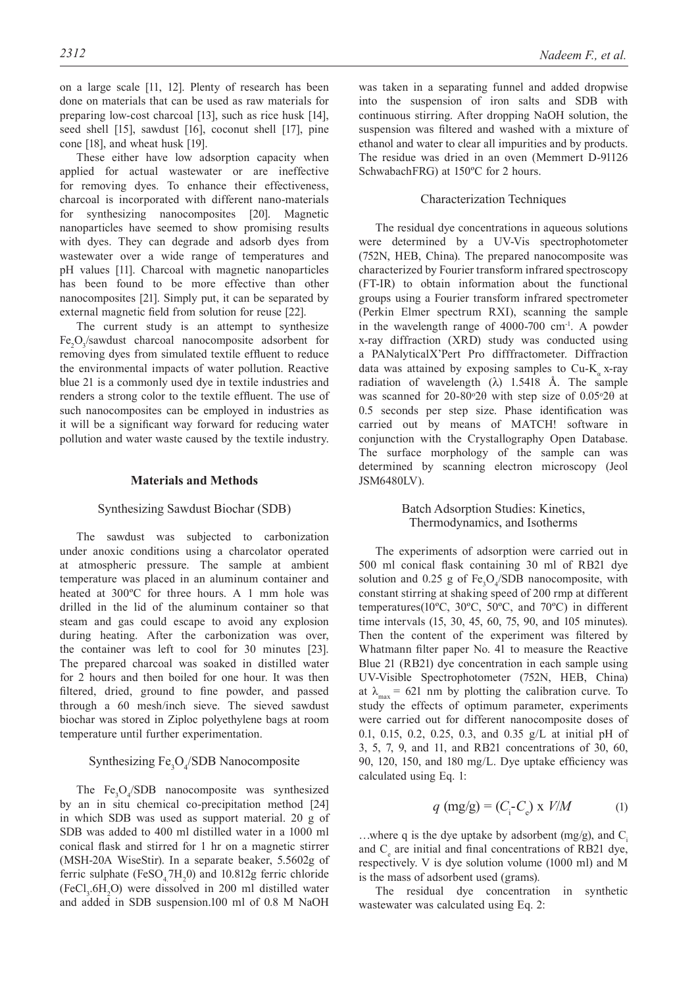on a large scale [11, 12]. Plenty of research has been done on materials that can be used as raw materials for preparing low-cost charcoal [13], such as rice husk [14], seed shell [15], sawdust [16], coconut shell [17], pine cone [18], and wheat husk [19].

These either have low adsorption capacity when applied for actual wastewater or are ineffective for removing dyes. To enhance their effectiveness, charcoal is incorporated with different nano-materials for synthesizing nanocomposites [20]. Magnetic nanoparticles have seemed to show promising results with dyes. They can degrade and adsorb dyes from wastewater over a wide range of temperatures and pH values [11]. Charcoal with magnetic nanoparticles has been found to be more effective than other nanocomposites [21]. Simply put, it can be separated by external magnetic field from solution for reuse [22].

The current study is an attempt to synthesize Fe<sub>2</sub>O<sub>3</sub>/sawdust charcoal nanocomposite adsorbent for removing dyes from simulated textile effluent to reduce the environmental impacts of water pollution. Reactive blue 21 is a commonly used dye in textile industries and renders a strong color to the textile effluent. The use of such nanocomposites can be employed in industries as it will be a significant way forward for reducing water pollution and water waste caused by the textile industry.

### **Materials and Methods**

### Synthesizing Sawdust Biochar (SDB)

The sawdust was subjected to carbonization under anoxic conditions using a charcolator operated at atmospheric pressure. The sample at ambient temperature was placed in an aluminum container and heated at 300ºC for three hours. A 1 mm hole was drilled in the lid of the aluminum container so that steam and gas could escape to avoid any explosion during heating. After the carbonization was over, the container was left to cool for 30 minutes [23]. The prepared charcoal was soaked in distilled water for 2 hours and then boiled for one hour. It was then filtered, dried, ground to fine powder, and passed through a 60 mesh/inch sieve. The sieved sawdust biochar was stored in Ziploc polyethylene bags at room temperature until further experimentation.

# Synthesizing  $Fe<sub>3</sub>O<sub>4</sub>/SDB$  Nanocomposite

The  $Fe<sub>3</sub>O<sub>4</sub>/SDB$  nanocomposite was synthesized by an in situ chemical co-precipitation method [24] in which SDB was used as support material. 20 g of SDB was added to 400 ml distilled water in a 1000 ml conical flask and stirred for 1 hr on a magnetic stirrer (MSH-20A WiseStir). In a separate beaker, 5.5602g of ferric sulphate  $(FeSO<sub>4</sub>7H<sub>2</sub>0)$  and 10.812g ferric chloride  $(FeCl<sub>3</sub>.6H<sub>2</sub>O)$  were dissolved in 200 ml distilled water and added in SDB suspension.100 ml of 0.8 M NaOH

was taken in a separating funnel and added dropwise into the suspension of iron salts and SDB with continuous stirring. After dropping NaOH solution, the suspension was filtered and washed with a mixture of ethanol and water to clear all impurities and by products. The residue was dried in an oven (Memmert D-91126 SchwabachFRG) at 150ºC for 2 hours.

### Characterization Techniques

The residual dye concentrations in aqueous solutions were determined by a UV-Vis spectrophotometer (752N, HEB, China). The prepared nanocomposite was characterized by Fourier transform infrared spectroscopy (FT-IR) to obtain information about the functional groups using a Fourier transform infrared spectrometer (Perkin Elmer spectrum RXI), scanning the sample in the wavelength range of 4000-700 cm-1. A powder x-ray diffraction (XRD) study was conducted using a PANalyticalX'Pert Pro difffractometer. Diffraction data was attained by exposing samples to  $Cu-K<sub>a</sub>$  x-ray radiation of wavelength  $(\lambda)$  1.5418 Å. The sample was scanned for  $20-80°2\theta$  with step size of  $0.05°2\theta$  at 0.5 seconds per step size. Phase identification was carried out by means of MATCH! software in conjunction with the Crystallography Open Database. The surface morphology of the sample can was determined by scanning electron microscopy (Jeol JSM6480LV).

### Batch Adsorption Studies: Kinetics, Thermodynamics, and Isotherms

The experiments of adsorption were carried out in 500 ml conical flask containing 30 ml of RB21 dye solution and 0.25 g of  $\text{Fe}_{3}\text{O}_{4}/\text{SDB}$  nanocomposite, with constant stirring at shaking speed of 200 rmp at different temperatures(10ºC, 30ºC, 50ºC, and 70ºC) in different time intervals (15, 30, 45, 60, 75, 90, and 105 minutes). Then the content of the experiment was filtered by Whatmann filter paper No. 41 to measure the Reactive Blue 21 (RB21) dye concentration in each sample using UV-Visible Spectrophotometer (752N, HEB, China) at  $\lambda_{\text{max}} = 621$  nm by plotting the calibration curve. To study the effects of optimum parameter, experiments were carried out for different nanocomposite doses of 0.1, 0.15, 0.2, 0.25, 0.3, and 0.35 g/L at initial pH of 3, 5, 7, 9, and 11, and RB21 concentrations of 30, 60, 90, 120, 150, and 180 mg/L. Dye uptake efficiency was calculated using Eq. 1:

$$
q \text{ (mg/g)} = (C_i - C_e) \times V/M \tag{1}
$$

...where q is the dye uptake by adsorbent  $(mg/g)$ , and C. and  $C_e$  are initial and final concentrations of RB21 dye, respectively. V is dye solution volume (1000 ml) and M is the mass of adsorbent used (grams).

The residual dye concentration in synthetic wastewater was calculated using Eq. 2: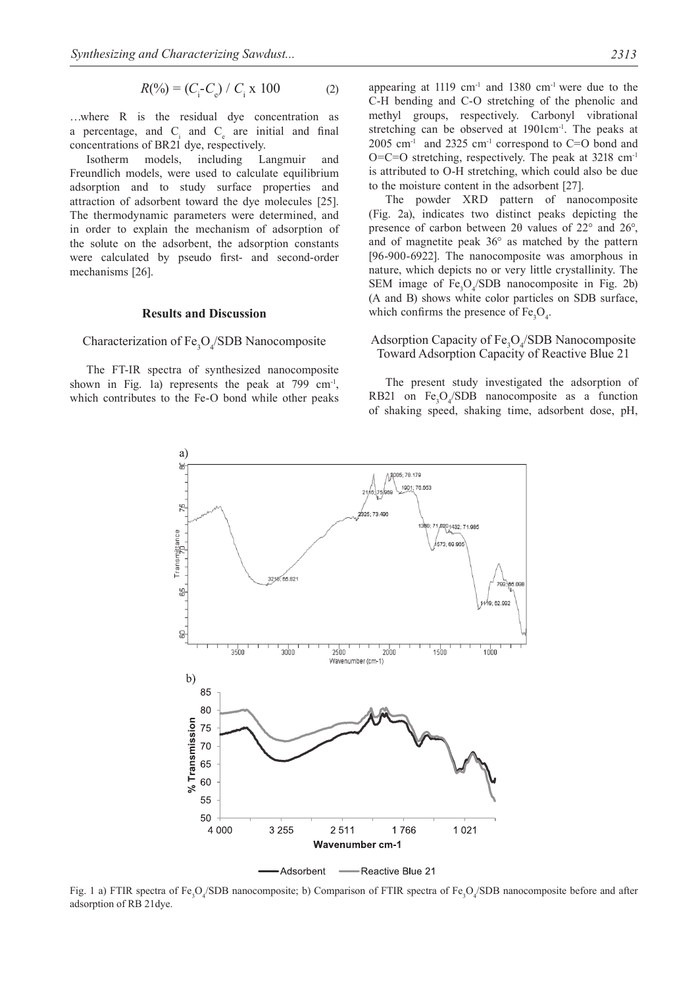$$
R(\%) = (C_{\rm i} - C_{\rm e}) / C_{\rm i} \times 100 \tag{2}
$$

…where R is the residual dye concentration as a percentage, and  $C_i$  and  $C_e$  are initial and final concentrations of BR21 dye, respectively.

Isotherm models, including Langmuir and Freundlich models, were used to calculate equilibrium adsorption and to study surface properties and attraction of adsorbent toward the dye molecules [25]. The thermodynamic parameters were determined, and in order to explain the mechanism of adsorption of the solute on the adsorbent, the adsorption constants were calculated by pseudo first- and second-order mechanisms [26].

### **Results and Discussion**

# Characterization of  $Fe<sub>3</sub>O<sub>4</sub>/SDB$  Nanocomposite

The FT-IR spectra of synthesized nanocomposite shown in Fig. 1a) represents the peak at  $799 \text{ cm}^{-1}$ , which contributes to the Fe-O bond while other peaks appearing at  $1119 \text{ cm}^{-1}$  and  $1380 \text{ cm}^{-1}$  were due to the C-H bending and C-O stretching of the phenolic and methyl groups, respectively. Carbonyl vibrational stretching can be observed at 1901cm<sup>-1</sup>. The peaks at  $2005$  cm<sup>-1</sup> and  $2325$  cm<sup>-1</sup> correspond to C=O bond and  $O=C=O$  stretching, respectively. The peak at 3218 cm<sup>-1</sup> is attributed to O-H stretching, which could also be due to the moisture content in the adsorbent [27].

The powder XRD pattern of nanocomposite (Fig. 2a), indicates two distinct peaks depicting the presence of carbon between 2θ values of 22° and 26°, and of magnetite peak 36° as matched by the pattern [96-900-6922]. The nanocomposite was amorphous in nature, which depicts no or very little crystallinity. The SEM image of  $Fe<sub>3</sub>O<sub>4</sub>/SDB$  nanocomposite in Fig. 2b) (A and B) shows white color particles on SDB surface, which confirms the presence of  $Fe<sub>3</sub>O<sub>4</sub>$ .

# Adsorption Capacity of  $Fe<sub>3</sub>O<sub>4</sub>/SDB$  Nanocomposite Toward Adsorption Capacity of Reactive Blue 21

The present study investigated the adsorption of RB21 on  $Fe<sub>3</sub>O<sub>4</sub>/SDB$  nanocomposite as a function of shaking speed, shaking time, adsorbent dose, pH,



Fig. 1 a) FTIR spectra of  $Fe<sub>3</sub>O<sub>4</sub>/SDB$  nanocomposite; b) Comparison of FTIR spectra of Fe<sub>3</sub>O<sub>4</sub>/SDB nanocomposite before and after adsorption of RB 21dye.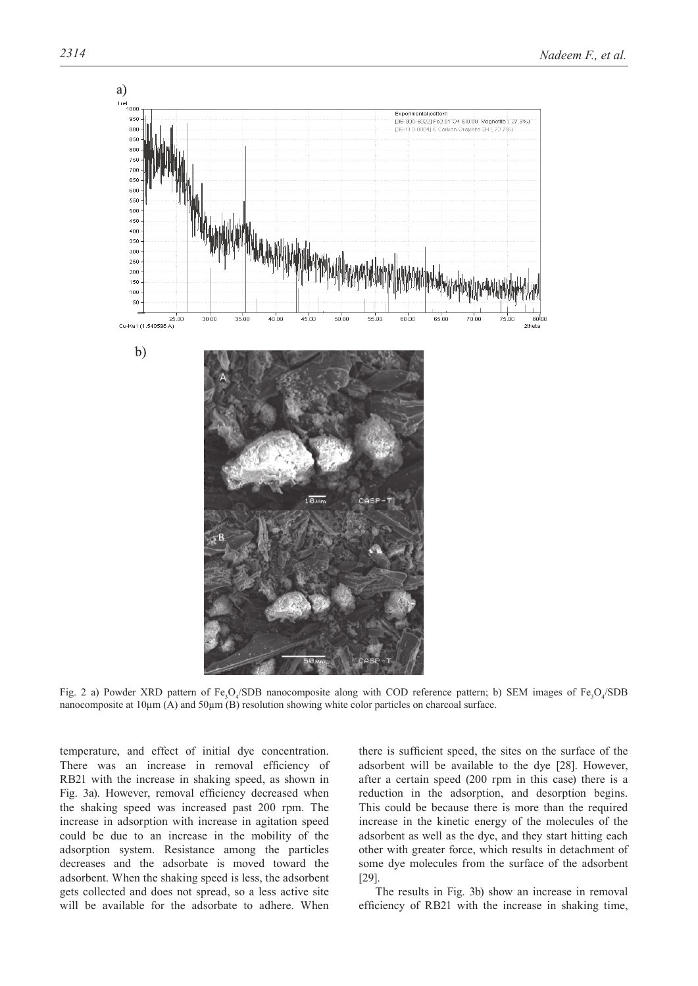

a)

Fig. 2 a) Powder XRD pattern of  $Fe<sub>3</sub>O<sub>4</sub>/SDB$  nanocomposite along with COD reference pattern; b) SEM images of  $Fe<sub>3</sub>O<sub>4</sub>/SDB$ nanocomposite at 10μm (A) and 50μm (B) resolution showing white color particles on charcoal surface.

temperature, and effect of initial dye concentration. There was an increase in removal efficiency of RB21 with the increase in shaking speed, as shown in Fig. 3a). However, removal efficiency decreased when the shaking speed was increased past 200 rpm. The increase in adsorption with increase in agitation speed could be due to an increase in the mobility of the adsorption system. Resistance among the particles decreases and the adsorbate is moved toward the adsorbent. When the shaking speed is less, the adsorbent gets collected and does not spread, so a less active site will be available for the adsorbate to adhere. When

there is sufficient speed, the sites on the surface of the adsorbent will be available to the dye [28]. However, after a certain speed (200 rpm in this case) there is a reduction in the adsorption, and desorption begins. This could be because there is more than the required increase in the kinetic energy of the molecules of the adsorbent as well as the dye, and they start hitting each other with greater force, which results in detachment of some dye molecules from the surface of the adsorbent [29].

The results in Fig. 3b) show an increase in removal efficiency of RB21 with the increase in shaking time,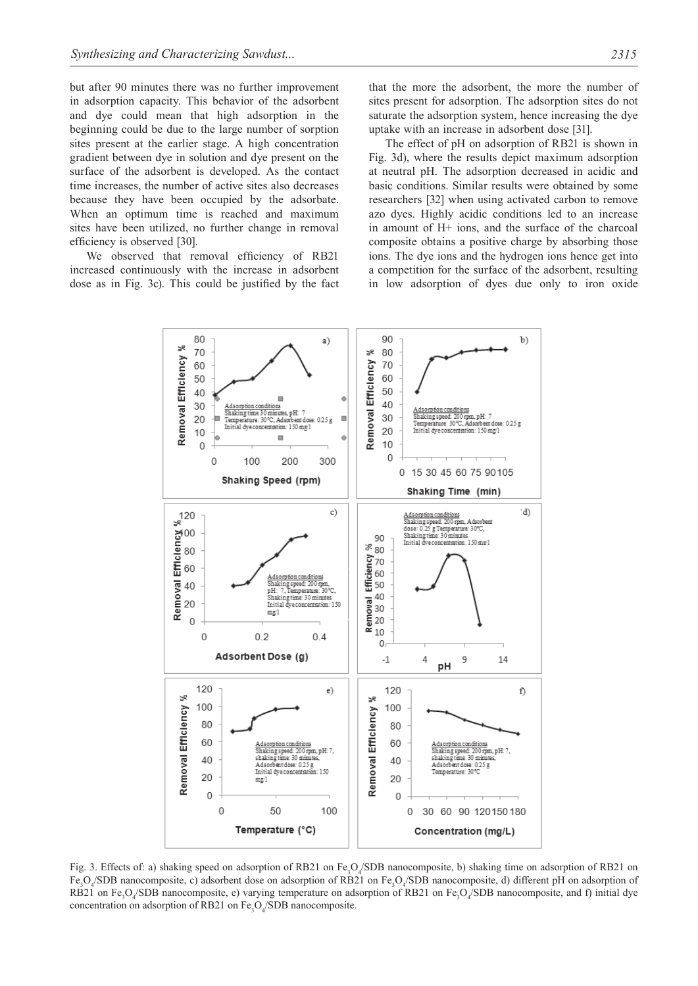but after 90 minutes there was no further improvement in adsorption capacity. This behavior of the adsorbent and dye could mean that high adsorption in the beginning could be due to the large number of sorption sites present at the earlier stage. A high concentration gradient between dye in solution and dye present on the surface of the adsorbent is developed. As the contact time increases, the number of active sites also decreases because they have been occupied by the adsorbate. When an optimum time is reached and maximum sites have been utilized, no further change in removal efficiency is observed [30].

We observed that removal efficiency of RB21 increased continuously with the increase in adsorbent dose as in Fig. 3c). This could be justified by the fact that the more the adsorbent, the more the number of sites present for adsorption. The adsorption sites do not saturate the adsorption system, hence increasing the dye uptake with an increase in adsorbent dose [31].

The effect of pH on adsorption of RB21 is shown in Fig. 3d), where the results depict maximum adsorption at neutral pH. The adsorption decreased in acidic and basic conditions. Similar results were obtained by some researchers [32] when using activated carbon to remove azo dyes. Highly acidic conditions led to an increase in amount of H+ ions, and the surface of the charcoal composite obtains a positive charge by absorbing those ions. The dye ions and the hydrogen ions hence get into a competition for the surface of the adsorbent, resulting in low adsorption of dyes due only to iron oxide



Fig. 3. Effects of: a) shaking speed on adsorption of RB21 on  $Fe<sub>3</sub>O<sub>4</sub>/SDB$  nanocomposite, b) shaking time on adsorption of RB21 on Fe<sub>3</sub>O<sub>4</sub>/SDB nanocomposite, c) adsorbent dose on adsorption of RB21 on Fe<sub>3</sub>O<sub>4</sub>/SDB nanocomposite, d) different pH on adsorption of RB21 on Fe<sub>3</sub>O<sub>4</sub>/SDB nanocomposite, e) varying temperature on adsorption of RB21 on Fe<sub>3</sub>O<sub>4</sub>/SDB nanocomposite, and f) initial dye concentration on adsorption of RB21 on  $Fe<sub>3</sub>O<sub>4</sub>/SDB$  nanocomposite.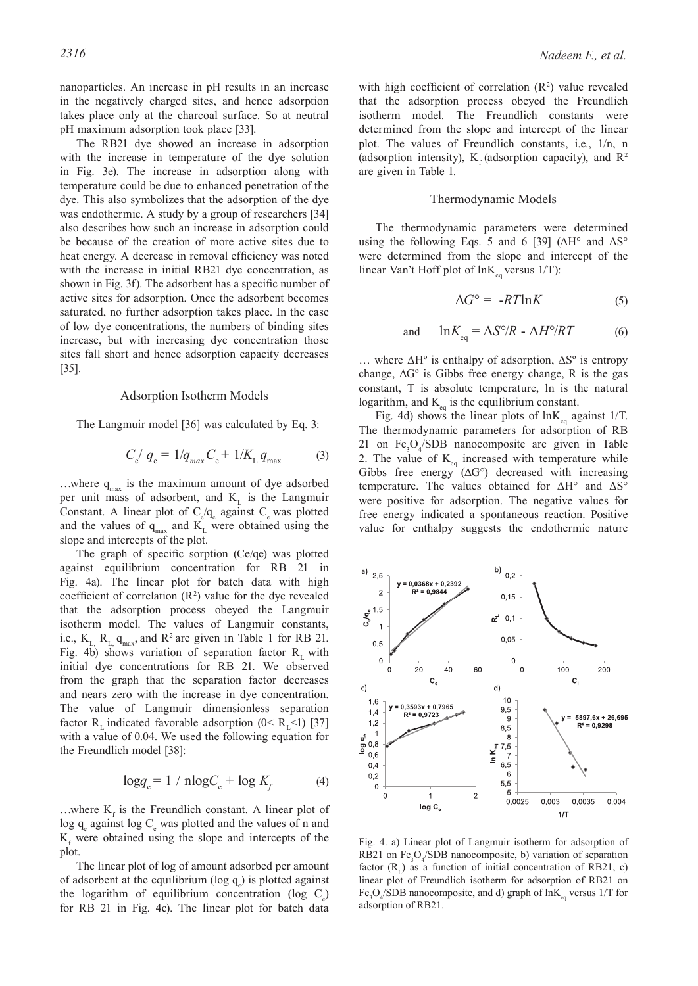The RB21 dye showed an increase in adsorption with the increase in temperature of the dye solution in Fig. 3e). The increase in adsorption along with temperature could be due to enhanced penetration of the dye. This also symbolizes that the adsorption of the dye was endothermic. A study by a group of researchers [34] also describes how such an increase in adsorption could be because of the creation of more active sites due to heat energy. A decrease in removal efficiency was noted with the increase in initial RB21 dye concentration, as shown in Fig. 3f). The adsorbent has a specific number of active sites for adsorption. Once the adsorbent becomes saturated, no further adsorption takes place. In the case of low dye concentrations, the numbers of binding sites increase, but with increasing dye concentration those sites fall short and hence adsorption capacity decreases [35].

#### Adsorption Isotherm Models

The Langmuir model [36] was calculated by Eq. 3:

$$
C_{\rm e} / q_{\rm e} = 1/q_{\rm max} C_{\rm e} + 1/K_{\rm L} q_{\rm max} \tag{3}
$$

...where  $q_{max}$  is the maximum amount of dye adsorbed per unit mass of adsorbent, and  $K<sub>L</sub>$  is the Langmuir Constant. A linear plot of  $C_e/q_e$  against  $C_e$  was plotted and the values of  $q_{max}$  and  $K_L$  were obtained using the slope and intercepts of the plot.

The graph of specific sorption (Ce/qe) was plotted against equilibrium concentration for RB 21 in Fig. 4a). The linear plot for batch data with high coefficient of correlation  $(R^2)$  value for the dye revealed that the adsorption process obeyed the Langmuir isotherm model. The values of Langmuir constants, i.e.,  $K_L$ ,  $R_L$ ,  $q_{max}$ , and  $R^2$  are given in Table 1 for RB 21. Fig. 4b) shows variation of separation factor  $R_1$  with initial dye concentrations for RB 21. We observed from the graph that the separation factor decreases and nears zero with the increase in dye concentration. The value of Langmuir dimensionless separation factor R<sub>r</sub> indicated favorable adsorption  $(0 \le R_{\rm r} \le 1)$  [37] with a value of 0.04. We used the following equation for the Freundlich model [38]:

$$
\log q_e = 1 / \text{nlog} C_e + \log K_f \tag{4}
$$

...where  $K_f$  is the Freundlich constant. A linear plot of log  $q_e$  against log  $C_e$  was plotted and the values of n and  $K_f$  were obtained using the slope and intercepts of the plot.

The linear plot of log of amount adsorbed per amount of adsorbent at the equilibrium ( $log q_e$ ) is plotted against the logarithm of equilibrium concentration (log  $C_e$ ) for RB 21 in Fig. 4c). The linear plot for batch data

with high coefficient of correlation  $(R^2)$  value revealed that the adsorption process obeyed the Freundlich isotherm model. The Freundlich constants were determined from the slope and intercept of the linear plot. The values of Freundlich constants, i.e., 1/n, n (adsorption intensity),  $K<sub>s</sub>$  (adsorption capacity), and  $R<sup>2</sup>$ are given in Table 1.

### Thermodynamic Models

The thermodynamic parameters were determined using the following Eqs. 5 and 6 [39] ( $\Delta H^{\circ}$  and  $\Delta S^{\circ}$ were determined from the slope and intercept of the linear Van't Hoff plot of  $ln K_{eq}$  versus 1/T):

$$
\Delta G^{\circ} = -RT\ln K \tag{5}
$$

$$
d \quad \ln K_{eq} = \Delta S^{\circ}/R - \Delta H^{\circ}/RT \tag{6}
$$

... where  $\Delta H^{\circ}$  is enthalpy of adsorption,  $\Delta S^{\circ}$  is entropy change,  $\Delta G^{\circ}$  is Gibbs free energy change, R is the gas constant, T is absolute temperature, ln is the natural logarithm, and  $K_{eq}$  is the equilibrium constant.

an

Fig. 4d) shows the linear plots of  $ln K_{eq}$  against 1/T. The thermodynamic parameters for adsorption of RB 21 on  $Fe<sub>3</sub>O<sub>4</sub>/SDB$  nanocomposite are given in Table 2. The value of  $K_{eq}$  increased with temperature while Gibbs free energy  $(\Delta G^{\circ})$  decreased with increasing temperature. The values obtained for ΔH° and ΔS° were positive for adsorption. The negative values for free energy indicated a spontaneous reaction. Positive value for enthalpy suggests the endothermic nature



Fig. 4. a) Linear plot of Langmuir isotherm for adsorption of RB21 on  $Fe<sub>3</sub>O<sub>4</sub>/SDB$  nanocomposite, b) variation of separation factor  $(R<sub>1</sub>)$  as a function of initial concentration of RB21, c) linear plot of Freundlich isotherm for adsorption of RB21 on Fe<sub>3</sub>O<sub>4</sub>/SDB nanocomposite, and d) graph of  $lnK_{eq}$  versus 1/T for adsorption of RB21.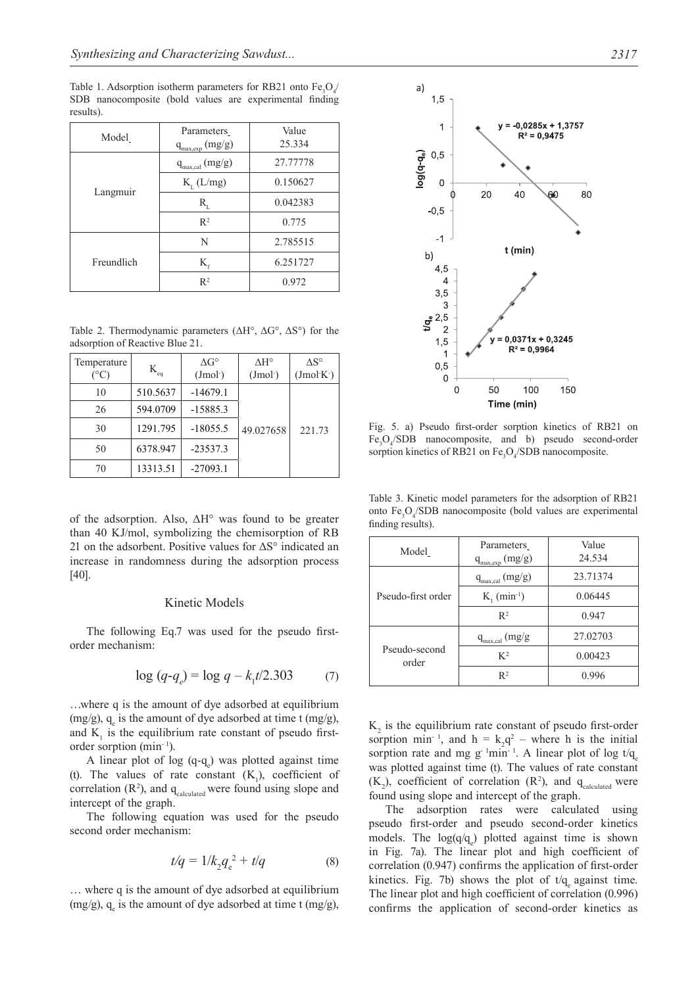Table 1. Adsorption isotherm parameters for RB21 onto  $Fe<sub>3</sub>O<sub>4</sub>$ SDB nanocomposite (bold values are experimental finding results).

| Model      | Parameters<br>$q_{\rm max,exp}\left(mg/g\right)$ | Value<br>25.334 |
|------------|--------------------------------------------------|-----------------|
| Langmuir   | $q_{\rm max,cal}\left(mg/g\right)$               | 27,77778        |
|            | $K_{\tau}$ (L/mg)                                | 0.150627        |
|            | $\rm R_{r}$                                      | 0.042383        |
|            | $R^2$                                            | 0.775           |
| Freundlich | N                                                | 2.785515        |
|            | $K_{\epsilon}$                                   | 6.251727        |
|            | $R^2$                                            | 0.972           |

Table 2. Thermodynamic parameters (ΔH°, ΔG°, ΔS°) for the adsorption of Reactive Blue 21.

| Temperature<br>$({}^{\circ}C)$ | $\mathbf{K}_{\scriptscriptstyle{\text{eq}}}$ | $\Delta G^{\circ}$<br>(Jmol <sub>o</sub> ) | $\Delta H^{\circ}$<br>(Jmol <sub>o</sub> ) | $\Delta S^{\circ}$<br>$(Jmol K^-)$ |
|--------------------------------|----------------------------------------------|--------------------------------------------|--------------------------------------------|------------------------------------|
| 10                             | 510.5637                                     | $-14679.1$                                 |                                            |                                    |
| 26                             | 594.0709                                     | $-15885.3$                                 |                                            |                                    |
| 30                             | 1291.795                                     | $-18055.5$                                 | 49.027658                                  | 221.73                             |
| 50                             | 6378.947                                     | $-23537.3$                                 |                                            |                                    |
| 70                             | 13313.51                                     | $-27093.1$                                 |                                            |                                    |

of the adsorption. Also, ΔH° was found to be greater than 40 KJ/mol, symbolizing the chemisorption of RB 21 on the adsorbent. Positive values for  $\Delta S^{\circ}$  indicated an increase in randomness during the adsorption process [40].

# Kinetic Models

The following Eq.7 was used for the pseudo firstorder mechanism:

$$
\log (q - q_e) = \log q - k_1 t / 2.303 \tag{7}
$$

…where q is the amount of dye adsorbed at equilibrium  $(mg/g)$ ,  $q_e$  is the amount of dye adsorbed at time t  $(mg/g)$ , and  $K<sub>1</sub>$  is the equilibrium rate constant of pseudo firstorder sorption (min<sup>-1</sup>).

A linear plot of log  $(q-q_e)$  was plotted against time (t). The values of rate constant  $(K_1)$ , coefficient of correlation  $(R^2)$ , and  $q_{calculated}$  were found using slope and intercept of the graph.

The following equation was used for the pseudo second order mechanism:

$$
t/q = 1/k_2 q_e^2 + t/q \tag{8}
$$

… where q is the amount of dye adsorbed at equilibrium  $(mg/g)$ ,  $q_e$  is the amount of dye adsorbed at time t  $(mg/g)$ ,



Fig. 5. a) Pseudo first-order sorption kinetics of RB21 on  $Fe<sub>3</sub>O<sub>4</sub>/SDB$  nanocomposite, and b) pseudo second-order sorption kinetics of RB21 on  $Fe<sub>3</sub>O<sub>4</sub>/SDB$  nanocomposite.

Table 3. Kinetic model parameters for the adsorption of RB21 onto Fe<sub>3</sub>O<sub>4</sub>/SDB nanocomposite (bold values are experimental finding results).

| Model                  | Parameters<br>$q_{max,exp}(mg/g)$  | Value<br>24.534 |  |
|------------------------|------------------------------------|-----------------|--|
| Pseudo-first order     | $q_{\rm max,cal}\left(mg/g\right)$ | 23.71374        |  |
|                        | $K_1$ (min <sup>-1</sup> )         | 0.06445         |  |
|                        | $R^2$                              | 0.947           |  |
| Pseudo-second<br>order | $q_{\rm max,cal}$ (mg/g            | 27.02703        |  |
|                        | $K^2$                              | 0.00423         |  |
|                        | $R^2$                              | 0 996           |  |

 $K<sub>2</sub>$  is the equilibrium rate constant of pseudo first-order sorption min<sup>-1</sup>, and  $h = k_2 q^2$  – where h is the initial sorption rate and mg g<sup>-1</sup>min<sup>-1</sup>. A linear plot of log t/q was plotted against time (t). The values of rate constant  $(K_2)$ , coefficient of correlation  $(R^2)$ , and  $q_{calculated}$  were found using slope and intercept of the graph.

The adsorption rates were calculated using pseudo first-order and pseudo second-order kinetics models. The  $log(q/q_e)$  plotted against time is shown in Fig. 7a). The linear plot and high coefficient of correlation (0.947) confirms the application of first-order kinetics. Fig. 7b) shows the plot of  $t/q$  against time. The linear plot and high coefficient of correlation (0.996) confirms the application of second-order kinetics as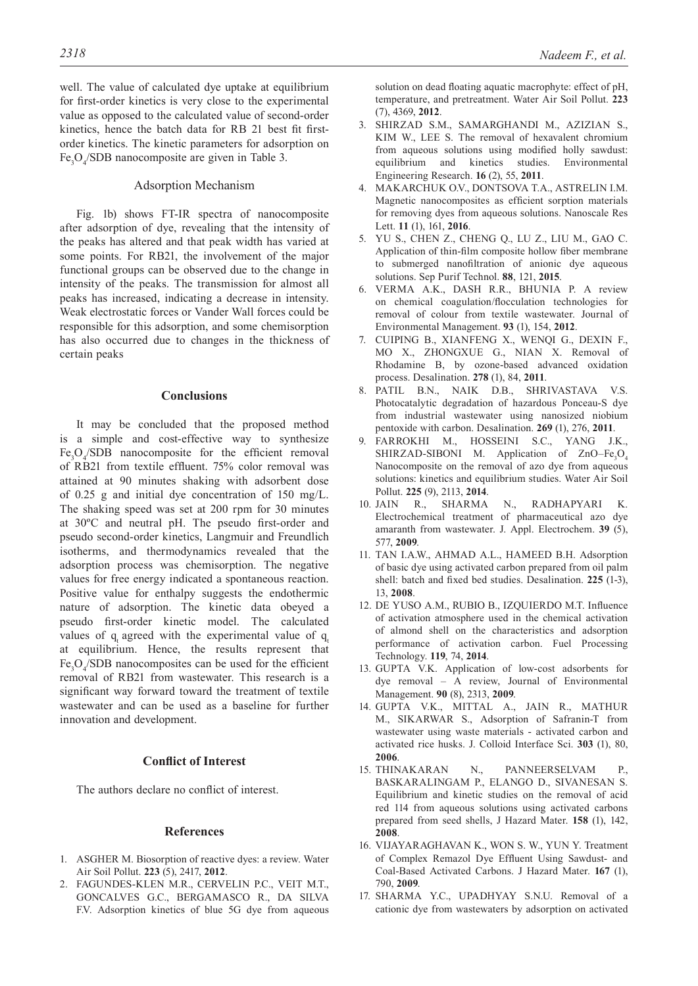well. The value of calculated dye uptake at equilibrium for first-order kinetics is very close to the experimental value as opposed to the calculated value of second-order kinetics, hence the batch data for RB 21 best fit firstorder kinetics. The kinetic parameters for adsorption on  $Fe<sub>3</sub>O<sub>4</sub>/SDB$  nanocomposite are given in Table 3.

# Adsorption Mechanism

Fig. 1b) shows FT-IR spectra of nanocomposite after adsorption of dye, revealing that the intensity of the peaks has altered and that peak width has varied at some points. For RB21, the involvement of the major functional groups can be observed due to the change in intensity of the peaks. The transmission for almost all peaks has increased, indicating a decrease in intensity. Weak electrostatic forces or Vander Wall forces could be responsible for this adsorption, and some chemisorption has also occurred due to changes in the thickness of certain peaks

# **Conclusions**

It may be concluded that the proposed method is a simple and cost-effective way to synthesize  $Fe<sub>3</sub>O<sub>4</sub>/SDB$  nanocomposite for the efficient removal of RB21 from textile effluent. 75% color removal was attained at 90 minutes shaking with adsorbent dose of 0.25 g and initial dye concentration of 150 mg/L. The shaking speed was set at 200 rpm for 30 minutes at 30ºC and neutral pH. The pseudo first-order and pseudo second-order kinetics, Langmuir and Freundlich isotherms, and thermodynamics revealed that the adsorption process was chemisorption. The negative values for free energy indicated a spontaneous reaction. Positive value for enthalpy suggests the endothermic nature of adsorption. The kinetic data obeyed a pseudo first-order kinetic model. The calculated values of  $q_i$  agreed with the experimental value of  $q_i$ at equilibrium. Hence, the results represent that  $Fe<sub>3</sub>O<sub>4</sub>/SDB$  nanocomposites can be used for the efficient removal of RB21 from wastewater. This research is a significant way forward toward the treatment of textile wastewater and can be used as a baseline for further innovation and development.

# **Conflict of Interest**

The authors declare no conflict of interest.

### **References**

- 1. ASGHER M. Biosorption of reactive dyes: a review. Water Air Soil Pollut. **223** (5), 2417, **2012**.
- 2. FAGUNDES-KLEN M.R., CERVELIN P.C., VEIT M.T., GONCALVES G.C., BERGAMASCO R., DA SILVA F.V. Adsorption kinetics of blue 5G dye from aqueous

solution on dead floating aquatic macrophyte: effect of pH, temperature, and pretreatment. Water Air Soil Pollut. **223** (7), 4369, **2012**.

- 3. SHIRZAD S.M., SAMARGHANDI M., AZIZIAN S., KIM W., LEE S. The removal of hexavalent chromium from aqueous solutions using modified holly sawdust: equilibrium and kinetics studies. Environmental Engineering Research. **16** (2), 55, **2011**.
- 4. MAKARCHUK O.V., DONTSOVA T.A., ASTRELIN I.M. Magnetic nanocomposites as efficient sorption materials for removing dyes from aqueous solutions. Nanoscale Res Lett. **11** (1), 161, **2016**.
- 5. YU S., CHEN Z., CHENG Q., LU Z., LIU M., GAO C. Application of thin-film composite hollow fiber membrane to submerged nanofiltration of anionic dye aqueous solutions. Sep Purif Technol. **88**, 121, **2015**.
- 6. VERMA A.K., DASH R.R., BHUNIA P. A review on chemical coagulation/flocculation technologies for removal of colour from textile wastewater. Journal of Environmental Management. **93** (1), 154, **2012**.
- 7. CUIPING B., XIANFENG X., WENQI G., DEXIN F., MO X., ZHONGXUE G., NIAN X. Removal of Rhodamine B, by ozone-based advanced oxidation process. Desalination. **278** (1), 84, **2011**.
- 8. PATIL B.N., NAIK D.B., SHRIVASTAVA V.S. Photocatalytic degradation of hazardous Ponceau-S dye from industrial wastewater using nanosized niobium pentoxide with carbon. Desalination. **269** (1), 276, **2011**.
- 9. FARROKHI M., HOSSEINI S.C., YANG J.K., SHIRZAD-SIBONI M. Application of  $ZnO-Fe<sub>3</sub>O<sub>4</sub>$ Nanocomposite on the removal of azo dye from aqueous solutions: kinetics and equilibrium studies. Water Air Soil Pollut. **225** (9), 2113, **2014**.
- 10. JAIN R., SHARMA N., RADHAPYARI K. Electrochemical treatment of pharmaceutical azo dye amaranth from wastewater. J. Appl. Electrochem. **39** (5), 577, **2009**.
- 11. TAN I.A.W., AHMAD A.L., HAMEED B.H. Adsorption of basic dye using activated carbon prepared from oil palm shell: batch and fixed bed studies. Desalination. **225** (1-3), 13, **2008**.
- 12. DE YUSO A.M., RUBIO B., IZQUIERDO M.T. Influence of activation atmosphere used in the chemical activation of almond shell on the characteristics and adsorption performance of activation carbon. Fuel Processing Technology. **119**, 74, **2014**.
- 13. GUPTA V.K. Application of low-cost adsorbents for dye removal – A review, Journal of Environmental Management. **90** (8), 2313, **2009**.
- 14. GUPTA V.K., MITTAL A., JAIN R., MATHUR M., SIKARWAR S., Adsorption of Safranin-T from wastewater using waste materials - activated carbon and activated rice husks. J. Colloid Interface Sci. **303** (1), 80, **2006**.
- 15. THINAKARAN N., PANNEERSELVAM P., BASKARALINGAM P., ELANGO D., SIVANESAN S. Equilibrium and kinetic studies on the removal of acid red 114 from aqueous solutions using activated carbons prepared from seed shells, J Hazard Mater. **158** (1), 142, **2008**.
- 16. VIJAYARAGHAVAN K., WON S. W., YUN Y. Treatment of Complex Remazol Dye Effluent Using Sawdust- and Coal-Based Activated Carbons. J Hazard Mater. **167** (1), 790, **2009**.
- 17. SHARMA Y.C., UPADHYAY S.N.U. Removal of a cationic dye from wastewaters by adsorption on activated